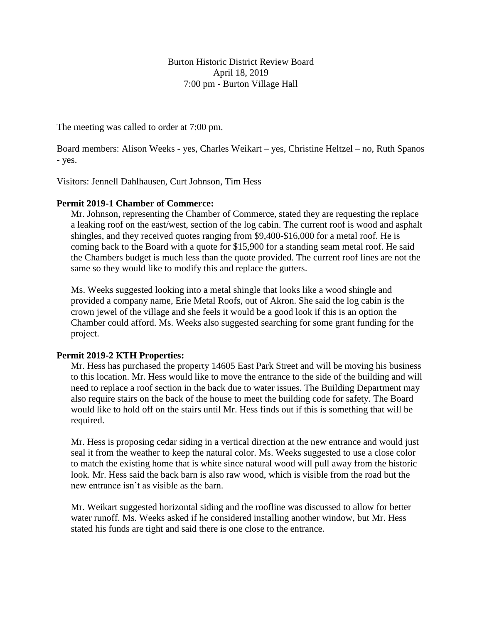Burton Historic District Review Board April 18, 2019 7:00 pm - Burton Village Hall

The meeting was called to order at 7:00 pm.

Board members: Alison Weeks - yes, Charles Weikart – yes, Christine Heltzel – no, Ruth Spanos - yes.

Visitors: Jennell Dahlhausen, Curt Johnson, Tim Hess

# **Permit 2019-1 Chamber of Commerce:**

Mr. Johnson, representing the Chamber of Commerce, stated they are requesting the replace a leaking roof on the east/west, section of the log cabin. The current roof is wood and asphalt shingles, and they received quotes ranging from \$9,400-\$16,000 for a metal roof. He is coming back to the Board with a quote for \$15,900 for a standing seam metal roof. He said the Chambers budget is much less than the quote provided. The current roof lines are not the same so they would like to modify this and replace the gutters.

Ms. Weeks suggested looking into a metal shingle that looks like a wood shingle and provided a company name, Erie Metal Roofs, out of Akron. She said the log cabin is the crown jewel of the village and she feels it would be a good look if this is an option the Chamber could afford. Ms. Weeks also suggested searching for some grant funding for the project.

# **Permit 2019-2 KTH Properties:**

Mr. Hess has purchased the property 14605 East Park Street and will be moving his business to this location. Mr. Hess would like to move the entrance to the side of the building and will need to replace a roof section in the back due to water issues. The Building Department may also require stairs on the back of the house to meet the building code for safety. The Board would like to hold off on the stairs until Mr. Hess finds out if this is something that will be required.

Mr. Hess is proposing cedar siding in a vertical direction at the new entrance and would just seal it from the weather to keep the natural color. Ms. Weeks suggested to use a close color to match the existing home that is white since natural wood will pull away from the historic look. Mr. Hess said the back barn is also raw wood, which is visible from the road but the new entrance isn't as visible as the barn.

Mr. Weikart suggested horizontal siding and the roofline was discussed to allow for better water runoff. Ms. Weeks asked if he considered installing another window, but Mr. Hess stated his funds are tight and said there is one close to the entrance.